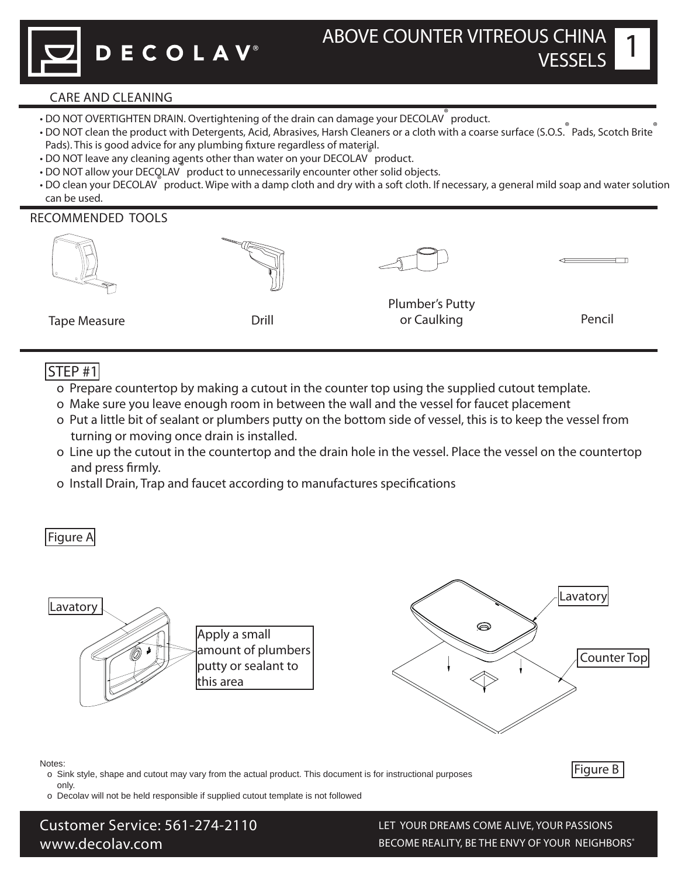# ABOVE COUNTER VITREOUS CHINA **VESSELS**

1

#### CARE AND CLEANING

- DO NOT OVERTIGHTEN DRAIN. Overtightening of the drain can damage your DECOLAV<sup>®</sup> product.
- **DO NOT clean the product with Detergents, Acid, Abrasives, Harsh Cleaners or a cloth with a coarse surface (S.O.S.**® Pads, Scotch Brite® Pads). This is good advice for any plumbing fixture regardless of material.
- DO NOT leave any cleaning agents other than water on your DECOLAV® product.
- **DO NOT allow your DECOLAV** product to unnecessarily encounter other solid objects.
- DO clean your DECOLAV® product. Wipe with a damp cloth and dry with a soft cloth. If necessary, a general mild soap and water solution can be used.

#### RECOMMENDED TOOLS

| <b>Tape Measure</b> | Drill | <b>Plumber's Putty</b><br>or Caulking | Pencil |
|---------------------|-------|---------------------------------------|--------|

### $STEP$ #1

- o Prepare countertop by making a cutout in the counter top using the supplied cutout template.
- o Make sure you leave enough room in between the wall and the vessel for faucet placement
- o Put a little bit of sealant or plumbers putty on the bottom side of vessel, this is to keep the vessel from turning or moving once drain is installed.
- o Line up the cutout in the countertop and the drain hole in the vessel. Place the vessel on the countertop and press firmly.
- o Install Drain, Trap and faucet according to manufactures specifications

### Figure A



#### Notes:

- o Sink style, shape and cutout may vary from the actual product. This document is for instructional purposes only.
- o Decolav will not be held responsible if supplied cutout template is not followed

## Customer Service: 561-274-2110 www.decolav.com

LET YOUR DREAMS COME ALIVE, YOUR PASSIONS BECOME REALITY, BE THE ENVY OF YOUR NEIGHBORS®

Figure B